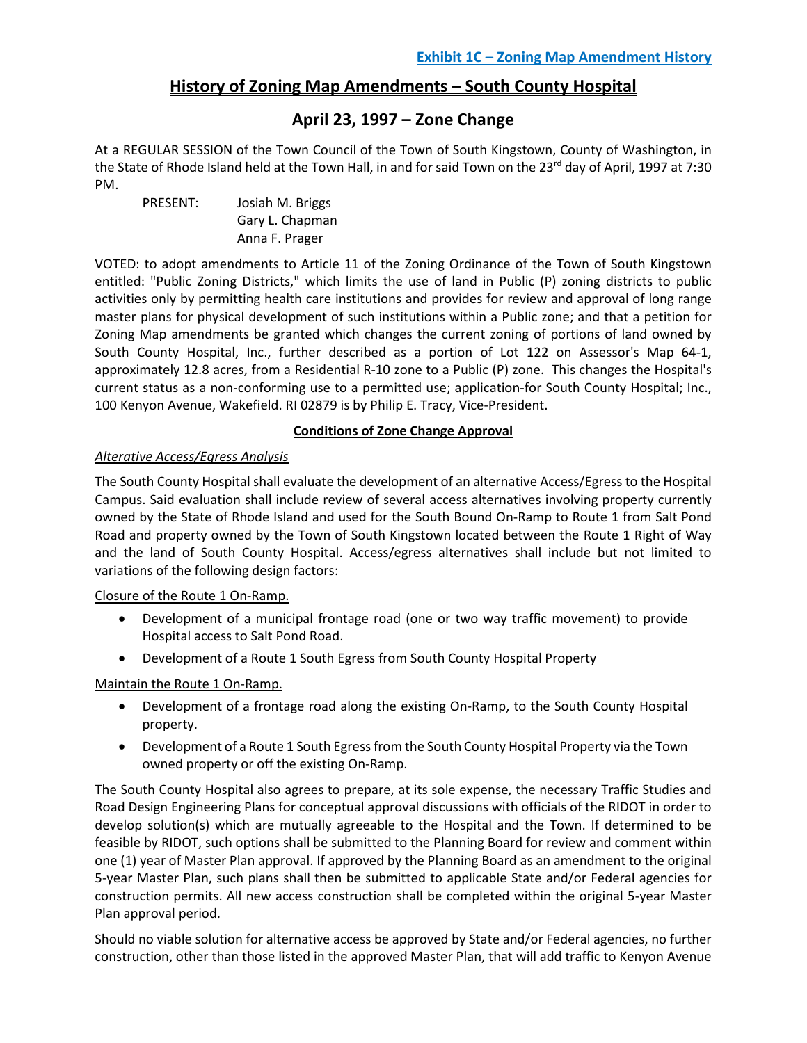## **History of Zoning Map Amendments – South County Hospital**

## **April 23, 1997 – Zone Change**

At a REGULAR SESSION of the Town Council of the Town of South Kingstown, County of Washington, in the State of Rhode Island held at the Town Hall, in and for said Town on the 23<sup>rd</sup> day of April, 1997 at 7:30 PM.

PRESENT: Josiah M. Briggs Gary L. Chapman Anna F. Prager

VOTED: to adopt amendments to Article 11 of the Zoning Ordinance of the Town of South Kingstown entitled: "Public Zoning Districts," which limits the use of land in Public (P) zoning districts to public activities only by permitting health care institutions and provides for review and approval of long range master plans for physical development of such institutions within a Public zone; and that a petition for Zoning Map amendments be granted which changes the current zoning of portions of land owned by South County Hospital, Inc., further described as a portion of Lot 122 on Assessor's Map 64-1, approximately 12.8 acres, from a Residential R-10 zone to a Public (P) zone. This changes the Hospital's current status as a non-conforming use to a permitted use; application-for South County Hospital; Inc., 100 Kenyon Avenue, Wakefield. RI 02879 is by Philip E. Tracy, Vice-President.

## **Conditions of Zone Change Approval**

### *Alterative Access/Egress Analysis*

The South County Hospital shall evaluate the development of an alternative Access/Egress to the Hospital Campus. Said evaluation shall include review of several access alternatives involving property currently owned by the State of Rhode Island and used for the South Bound On-Ramp to Route 1 from Salt Pond Road and property owned by the Town of South Kingstown located between the Route 1 Right of Way and the land of South County Hospital. Access/egress alternatives shall include but not limited to variations of the following design factors:

Closure of the Route 1 On-Ramp.

- Development of a municipal frontage road (one or two way traffic movement) to provide Hospital access to Salt Pond Road.
- Development of a Route 1 South Egress from South County Hospital Property

### Maintain the Route 1 On-Ramp.

- Development of a frontage road along the existing On-Ramp, to the South County Hospital property.
- Development of a Route 1 South Egress from the South County Hospital Property via the Town owned property or off the existing On-Ramp.

The South County Hospital also agrees to prepare, at its sole expense, the necessary Traffic Studies and Road Design Engineering Plans for conceptual approval discussions with officials of the RIDOT in order to develop solution(s) which are mutually agreeable to the Hospital and the Town. If determined to be feasible by RIDOT, such options shall be submitted to the Planning Board for review and comment within one (1) year of Master Plan approval. If approved by the Planning Board as an amendment to the original 5-year Master Plan, such plans shall then be submitted to applicable State and/or Federal agencies for construction permits. All new access construction shall be completed within the original 5-year Master Plan approval period.

Should no viable solution for alternative access be approved by State and/or Federal agencies, no further construction, other than those listed in the approved Master Plan, that will add traffic to Kenyon Avenue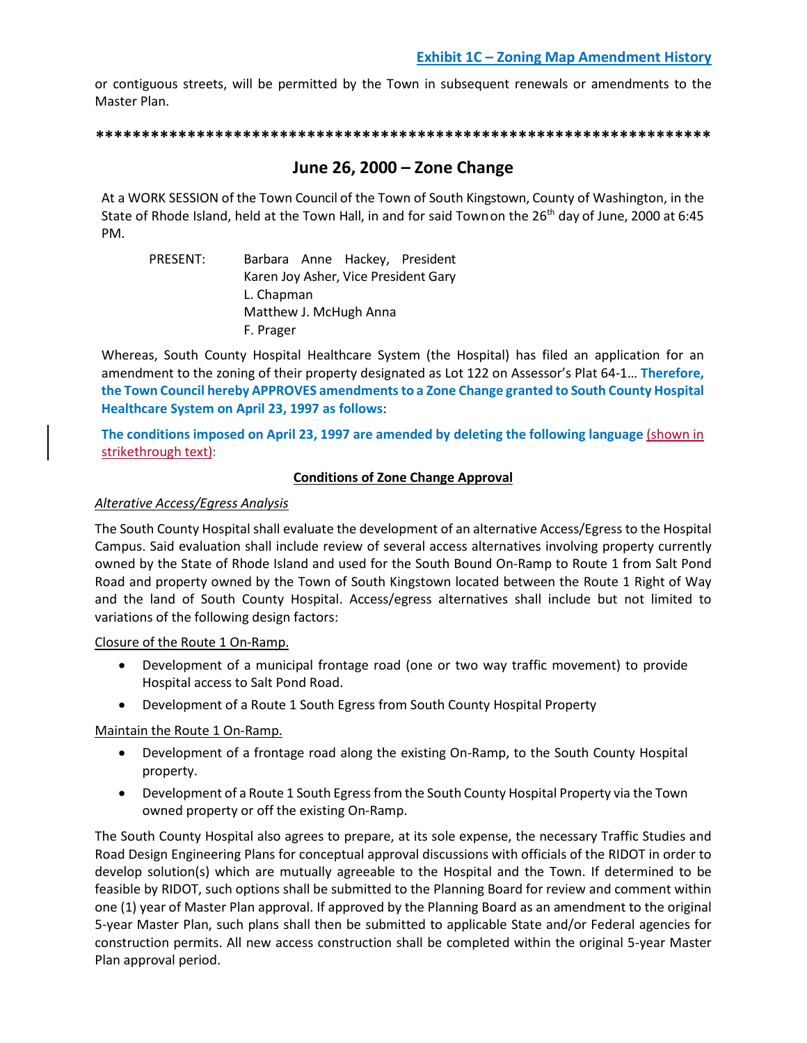or contiguous streets, will be permitted by the Town in subsequent renewals or amendments to the Master Plan.

**\*\*\*\*\*\*\*\*\*\*\*\*\*\*\*\*\*\*\*\*\*\*\*\*\*\*\*\*\*\*\*\*\*\*\*\*\*\*\*\*\*\*\*\*\*\*\*\*\*\*\*\*\*\*\*\*\*\*\*\*\*\*\*\*\*\*\***

## **June 26, 2000 – Zone Change**

At a WORK SESSION of the Town Council of the Town of South Kingstown, County of Washington, in the State of Rhode Island, held at the Town Hall, in and for said Townon the 26<sup>th</sup> day of June, 2000 at 6:45 PM.

PRESENT: Barbara Anne Hackey, President Karen Joy Asher, Vice President Gary L. Chapman Matthew J. McHugh Anna F. Prager

Whereas, South County Hospital Healthcare System (the Hospital) has filed an application for an amendment to the zoning of their property designated as Lot 122 on Assessor's Plat 64-1… **Therefore, the Town Council hereby APPROVES amendments to a Zone Change granted to South County Hospital Healthcare System on April 23, 1997 as follows**:

**The conditions imposed on April 23, 1997 are amended by deleting the following language** (shown in strikethrough text):

### **Conditions of Zone Change Approval**

### *Alterative Access/Egress Analysis*

The South County Hospital shall evaluate the development of an alternative Access/Egress to the Hospital Campus. Said evaluation shall include review of several access alternatives involving property currently owned by the State of Rhode Island and used for the South Bound On-Ramp to Route 1 from Salt Pond Road and property owned by the Town of South Kingstown located between the Route 1 Right of Way and the land of South County Hospital. Access/egress alternatives shall include but not limited to variations of the following design factors:

Closure of the Route 1 On-Ramp.

- Development of a municipal frontage road (one or two way traffic movement) to provide Hospital access to Salt Pond Road.
- Development of a Route 1 South Egress from South County Hospital Property

Maintain the Route 1 On-Ramp.

- Development of a frontage road along the existing On-Ramp, to the South County Hospital property.
- Development of a Route 1 South Egress from the South County Hospital Property via the Town owned property or off the existing On-Ramp.

The South County Hospital also agrees to prepare, at its sole expense, the necessary Traffic Studies and Road Design Engineering Plans for conceptual approval discussions with officials of the RIDOT in order to develop solution(s) which are mutually agreeable to the Hospital and the Town. If determined to be feasible by RIDOT, such options shall be submitted to the Planning Board for review and comment within one (1) year of Master Plan approval. If approved by the Planning Board as an amendment to the original 5-year Master Plan, such plans shall then be submitted to applicable State and/or Federal agencies for construction permits. All new access construction shall be completed within the original 5-year Master Plan approval period.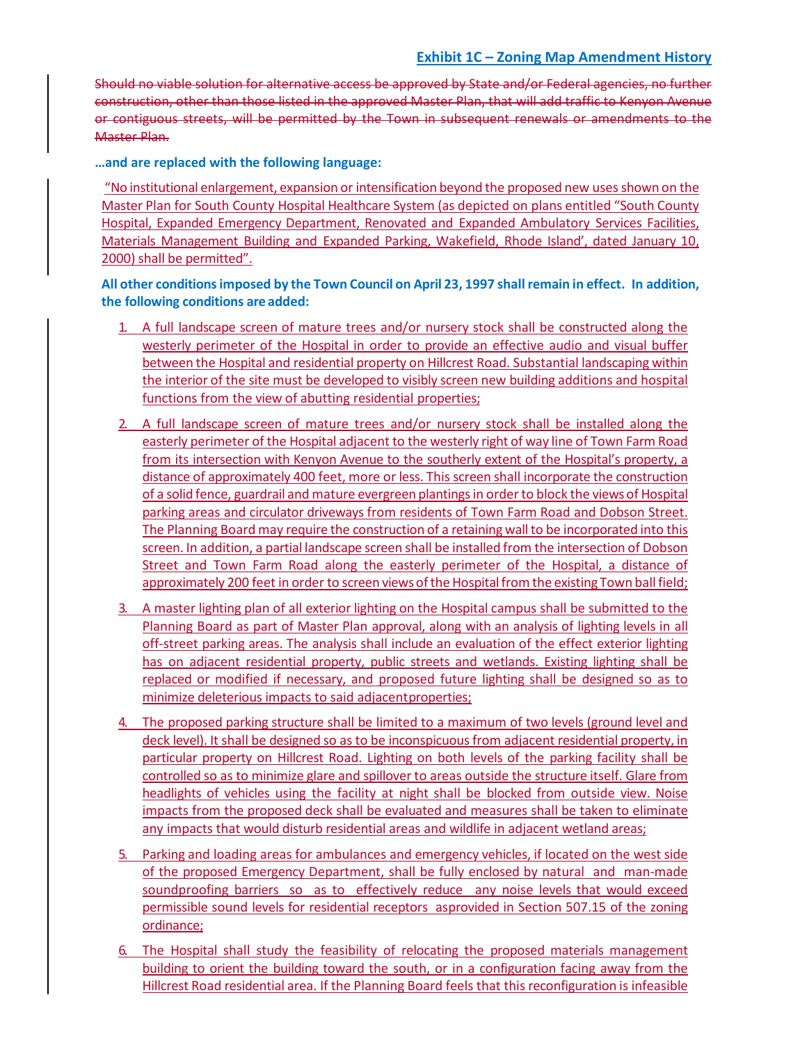Should no viable solution for alternative access be approved by State and/or Federal agencies, no further construction, other than those listed in the approved Master Plan, that will add traffic to Kenyon Avenue or contiguous streets, will be permitted by the Town in subsequent renewals or amendments to the Master Plan.

**…and are replaced with the following language:**

"No institutional enlargement, expansion or intensification beyond the proposed new uses shown on the Master Plan for South County Hospital Healthcare System (as depicted on plans entitled "South County Hospital, Expanded Emergency Department, Renovated and Expanded Ambulatory Services Facilities, Materials Management Building and Expanded Parking, Wakefield, Rhode Island', dated January 10, 2000) shall be permitted".

**All other conditionsimposed by the Town Council on April 23, 1997 shall remain in effect. In addition, the following conditions are added:**

- 1. A full landscape screen of mature trees and/or nursery stock shall be constructed along the westerly perimeter of the Hospital in order to provide an effective audio and visual buffer between the Hospital and residential property on Hillcrest Road. Substantial landscaping within the interior of the site must be developed to visibly screen new building additions and hospital functions from the view of abutting residential properties;
- 2. A full landscape screen of mature trees and/or nursery stock shall be installed along the easterly perimeter of the Hospital adjacent to the westerly right of way line of Town Farm Road from its intersection with Kenyon Avenue to the southerly extent of the Hospital's property, a distance of approximately 400 feet, more or less. This screen shall incorporate the construction of a solid fence, guardrail and mature evergreen plantings in order to block the views of Hospital parking areas and circulator driveways from residents of Town Farm Road and Dobson Street. The Planning Board may require the construction of a retaining wall to be incorporated into this screen. In addition, a partial landscape screen shall be installed from the intersection of Dobson Street and Town Farm Road along the easterly perimeter of the Hospital, a distance of approximately 200 feet in order to screen views of the Hospital from the existing Town ball field;
- 3. A master lighting plan of all exterior lighting on the Hospital campus shall be submitted to the Planning Board as part of Master Plan approval, along with an analysis of lighting levels in all off-street parking areas. The analysis shall include an evaluation of the effect exterior lighting has on adjacent residential property, public streets and wetlands. Existing lighting shall be replaced or modified if necessary, and proposed future lighting shall be designed so as to minimize deleterious impacts to said adjacentproperties;
- 4. The proposed parking structure shall be limited to a maximum of two levels (ground level and deck level). It shall be designed so as to be inconspicuous from adjacent residential property, in particular property on Hillcrest Road. Lighting on both levels of the parking facility shall be controlled so as to minimize glare and spillover to areas outside the structure itself. Glare from headlights of vehicles using the facility at night shall be blocked from outside view. Noise impacts from the proposed deck shall be evaluated and measures shall be taken to eliminate any impacts that would disturb residential areas and wildlife in adjacent wetland areas;
- 5. Parking and loading areas for ambulances and emergency vehicles, if located on the west side of the proposed Emergency Department, shall be fully enclosed by natural and man-made soundproofing barriers so as to effectively reduce any noise levels that would exceed permissible sound levels for residential receptors asprovided in Section 507.15 of the zoning ordinance;
- 6. The Hospital shall study the feasibility of relocating the proposed materials management building to orient the building toward the south, or in a configuration facing away from the Hillcrest Road residential area. If the Planning Board feels that this reconfiguration is infeasible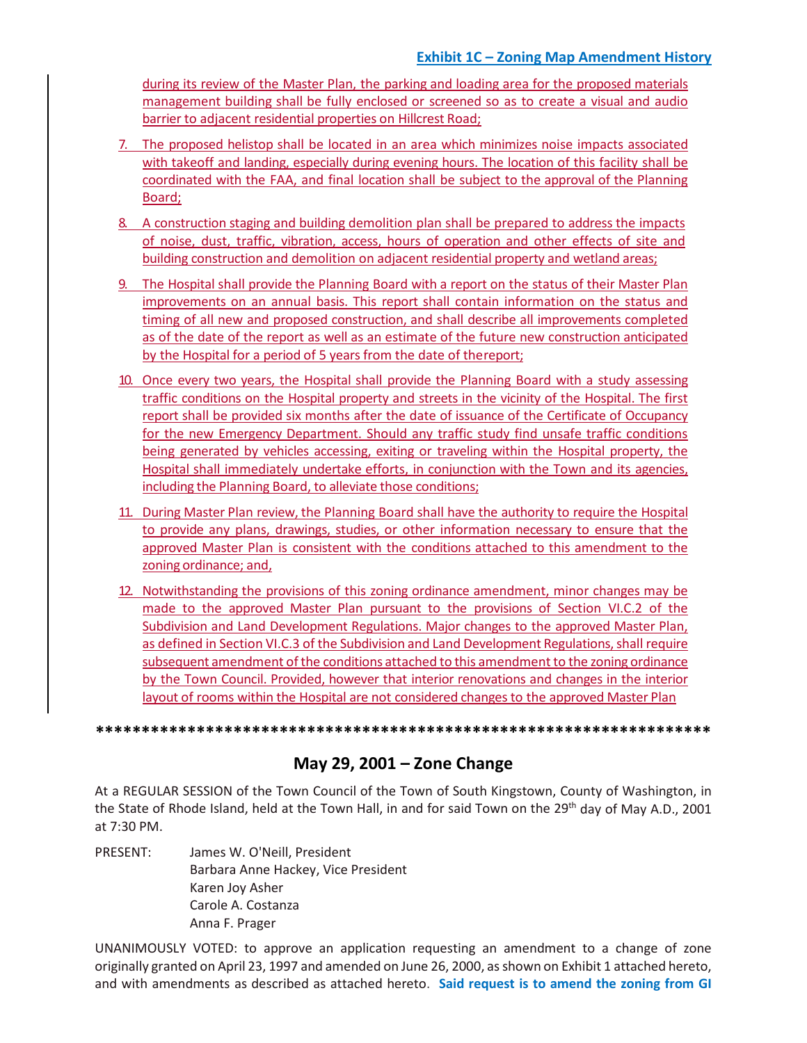during its review of the Master Plan, the parking and loading area for the proposed materials management building shall be fully enclosed or screened so as to create a visual and audio barrier to adjacent residential properties on Hillcrest Road;

- 7. The proposed helistop shall be located in an area which minimizes noise impacts associated with takeoff and landing, especially during evening hours. The location of this facility shall be coordinated with the FAA, and final location shall be subject to the approval of the Planning Board;
- 8. A construction staging and building demolition plan shall be prepared to address the impacts of noise, dust, traffic, vibration, access, hours of operation and other effects of site and building construction and demolition on adjacent residential property and wetland areas;
- 9. The Hospital shall provide the Planning Board with a report on the status of their Master Plan improvements on an annual basis. This report shall contain information on the status and timing of all new and proposed construction, and shall describe all improvements completed as of the date of the report as well as an estimate of the future new construction anticipated by the Hospital for a period of 5 years from the date of thereport;
- 10. Once every two years, the Hospital shall provide the Planning Board with a study assessing traffic conditions on the Hospital property and streets in the vicinity of the Hospital. The first report shall be provided six months after the date of issuance of the Certificate of Occupancy for the new Emergency Department. Should any traffic study find unsafe traffic conditions being generated by vehicles accessing, exiting or traveling within the Hospital property, the Hospital shall immediately undertake efforts, in conjunction with the Town and its agencies, including the Planning Board, to alleviate those conditions;
- 11. During Master Plan review, the Planning Board shall have the authority to require the Hospital to provide any plans, drawings, studies, or other information necessary to ensure that the approved Master Plan is consistent with the conditions attached to this amendment to the zoning ordinance; and,
- 12. Notwithstanding the provisions of this zoning ordinance amendment, minor changes may be made to the approved Master Plan pursuant to the provisions of Section VI.C.2 of the Subdivision and Land Development Regulations. Major changes to the approved Master Plan, as defined in Section VI.C.3 of the Subdivision and Land Development Regulations, shall require subsequent amendment of the conditions attached to this amendment to the zoning ordinance by the Town Council. Provided, however that interior renovations and changes in the interior layout of rooms within the Hospital are not considered changes to the approved Master Plan

**\*\*\*\*\*\*\*\*\*\*\*\*\*\*\*\*\*\*\*\*\*\*\*\*\*\*\*\*\*\*\*\*\*\*\*\*\*\*\*\*\*\*\*\*\*\*\*\*\*\*\*\*\*\*\*\*\*\*\*\*\*\*\*\*\*\*\***

# **May 29, 2001 – Zone Change**

At a REGULAR SESSION of the Town Council of the Town of South Kingstown, County of Washington, in the State of Rhode Island, held at the Town Hall, in and for said Town on the 29<sup>th</sup> day of May A.D., 2001 at 7:30 PM.

PRESENT: James W. O'Neill, President Barbara Anne Hackey, Vice President Karen Joy Asher Carole A. Costanza Anna F. Prager

UNANIMOUSLY VOTED: to approve an application requesting an amendment to a change of zone originally granted on April 23, 1997 and amended on June 26, 2000, as shown on Exhibit 1 attached hereto, and with amendments as described as attached hereto. **Said request is to amend the zoning from GI**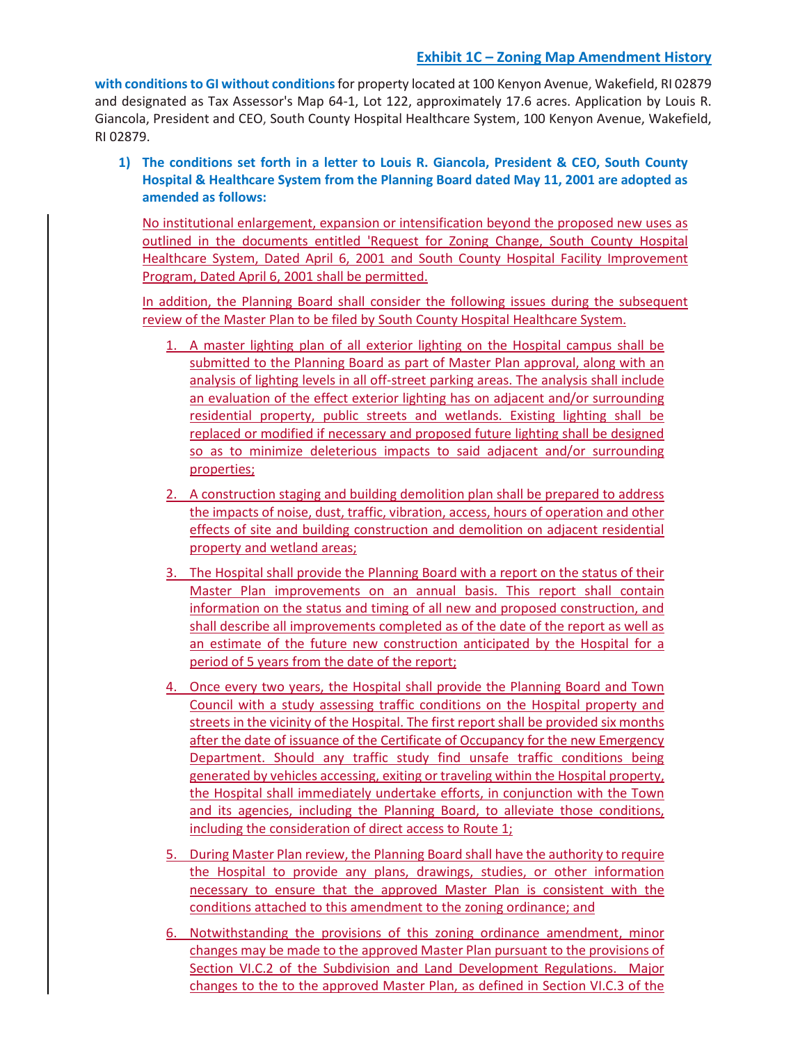**with conditions to GI without conditions**for property located at 100 Kenyon Avenue, Wakefield, RI 02879 and designated as Tax Assessor's Map 64-1, Lot 122, approximately 17.6 acres. Application by Louis R. Giancola, President and CEO, South County Hospital Healthcare System, 100 Kenyon Avenue, Wakefield, RI 02879.

**1) The conditions set forth in a letter to Louis R. Giancola, President & CEO, South County Hospital & Healthcare System from the Planning Board dated May 11, 2001 are adopted as amended as follows:**

No institutional enlargement, expansion or intensification beyond the proposed new uses as outlined in the documents entitled 'Request for Zoning Change, South County Hospital Healthcare System, Dated April 6, 2001 and South County Hospital Facility Improvement Program, Dated April 6, 2001 shall be permitted.

In addition, the Planning Board shall consider the following issues during the subsequent review of the Master Plan to be filed by South County Hospital Healthcare System.

- 1. A master lighting plan of all exterior lighting on the Hospital campus shall be submitted to the Planning Board as part of Master Plan approval, along with an analysis of lighting levels in all off-street parking areas. The analysis shall include an evaluation of the effect exterior lighting has on adjacent and/or surrounding residential property, public streets and wetlands. Existing lighting shall be replaced or modified if necessary and proposed future lighting shall be designed so as to minimize deleterious impacts to said adjacent and/or surrounding properties;
- 2. A construction staging and building demolition plan shall be prepared to address the impacts of noise, dust, traffic, vibration, access, hours of operation and other effects of site and building construction and demolition on adjacent residential property and wetland areas;
- 3. The Hospital shall provide the Planning Board with a report on the status of their Master Plan improvements on an annual basis. This report shall contain information on the status and timing of all new and proposed construction, and shall describe all improvements completed as of the date of the report as well as an estimate of the future new construction anticipated by the Hospital for a period of 5 years from the date of the report;
- 4. Once every two years, the Hospital shall provide the Planning Board and Town Council with a study assessing traffic conditions on the Hospital property and streets in the vicinity of the Hospital. The first report shall be provided six months after the date of issuance of the Certificate of Occupancy for the new Emergency Department. Should any traffic study find unsafe traffic conditions being generated by vehicles accessing, exiting or traveling within the Hospital property, the Hospital shall immediately undertake efforts, in conjunction with the Town and its agencies, including the Planning Board, to alleviate those conditions, including the consideration of direct access to Route 1;
- 5. During Master Plan review, the Planning Board shall have the authority to require the Hospital to provide any plans, drawings, studies, or other information necessary to ensure that the approved Master Plan is consistent with the conditions attached to this amendment to the zoning ordinance; and
- 6. Notwithstanding the provisions of this zoning ordinance amendment, minor changes may be made to the approved Master Plan pursuant to the provisions of Section VI.C.2 of the Subdivision and Land Development Regulations. Major changes to the to the approved Master Plan, as defined in Section VI.C.3 of the